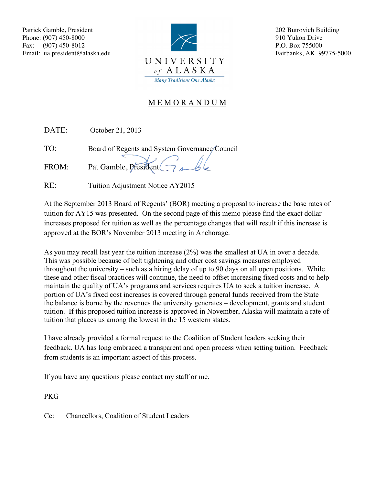

202 Butrovich Building 910 Yukon Drive P.O. Box 755000 Fairbanks, AK 99775-5000

## M E M O R A N D U M

DATE: October 21, 2013

TO: Board of Regents and System Governance Council

FROM: Pat Gamble, President

RE: Tuition Adjustment Notice AY2015

At the September 2013 Board of Regents' (BOR) meeting a proposal to increase the base rates of tuition for AY15 was presented. On the second page of this memo please find the exact dollar increases proposed for tuition as well as the percentage changes that will result if this increase is approved at the BOR's November 2013 meeting in Anchorage.

As you may recall last year the tuition increase (2%) was the smallest at UA in over a decade. This was possible because of belt tightening and other cost savings measures employed throughout the university – such as a hiring delay of up to 90 days on all open positions. While these and other fiscal practices will continue, the need to offset increasing fixed costs and to help maintain the quality of UA's programs and services requires UA to seek a tuition increase. A portion of UA's fixed cost increases is covered through general funds received from the State – the balance is borne by the revenues the university generates – development, grants and student tuition. If this proposed tuition increase is approved in November, Alaska will maintain a rate of tuition that places us among the lowest in the 15 western states.

I have already provided a formal request to the Coalition of Student leaders seeking their feedback. UA has long embraced a transparent and open process when setting tuition. Feedback from students is an important aspect of this process.

If you have any questions please contact my staff or me.

PKG

Cc: Chancellors, Coalition of Student Leaders